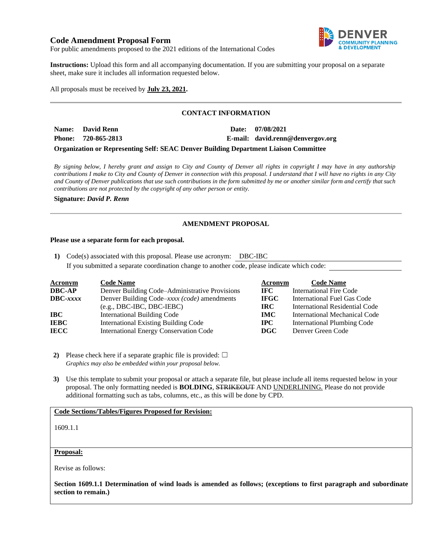# **Code Amendment Proposal Form**



For public amendments proposed to the 2021 editions of the International Codes

**Instructions:** Upload this form and all accompanying documentation. If you are submitting your proposal on a separate sheet, make sure it includes all information requested below.

All proposals must be received by **July 23, 2021.**

# **CONTACT INFORMATION**

**Name: David Renn Date: 07/08/2021 Phone: 720-865-2813 E-mail: david.renn@denvergov.org**

**Organization or Representing Self: SEAC Denver Building Department Liaison Committee**

*By signing below, I hereby grant and assign to City and County of Denver all rights in copyright I may have in any authorship contributions I make to City and County of Denver in connection with this proposal. I understand that I will have no rights in any City and County of Denver publications that use such contributions in the form submitted by me or another similar form and certify that such contributions are not protected by the copyright of any other person or entity.* 

**Signature:** *David P. Renn*

# **AMENDMENT PROPOSAL**

#### **Please use a separate form for each proposal.**

**1)** Code(s) associated with this proposal. Please use acronym: DBC-IBC If you submitted a separate coordination change to another code, please indicate which code:

| <b>Acronym</b>    | <b>Code Name</b>                               | Acronym     | <b>Code Name</b>                     |
|-------------------|------------------------------------------------|-------------|--------------------------------------|
| <b>DBC-AP</b>     | Denver Building Code–Administrative Provisions | IFC.        | <b>International Fire Code</b>       |
| $\text{DBC}-xxxx$ | Denver Building Code–xxxx (code) amendments    | <b>IFGC</b> | International Fuel Gas Code          |
|                   | $(e.g., DBC-IBC, DBC-IEBC)$                    | <b>IRC</b>  | International Residential Code       |
| IBC               | International Building Code                    | <b>IMC</b>  | <b>International Mechanical Code</b> |
| <b>IEBC</b>       | <b>International Existing Building Code</b>    | $\bf IPC$   | <b>International Plumbing Code</b>   |
| <b>IECC</b>       | <b>International Energy Conservation Code</b>  | DGC         | Denver Green Code                    |

**2)** Please check here if a separate graphic file is provided:  $\Box$ *Graphics may also be embedded within your proposal below.*

**3)** Use this template to submit your proposal or attach a separate file, but please include all items requested below in your proposal. The only formatting needed is **BOLDING**, STRIKEOUT AND UNDERLINING. Please do not provide additional formatting such as tabs, columns, etc., as this will be done by CPD.

### **Code Sections/Tables/Figures Proposed for Revision:**

1609.1.1

#### **Proposal:**

Revise as follows:

**Section 1609.1.1 Determination of wind loads is amended as follows; (exceptions to first paragraph and subordinate section to remain.)**